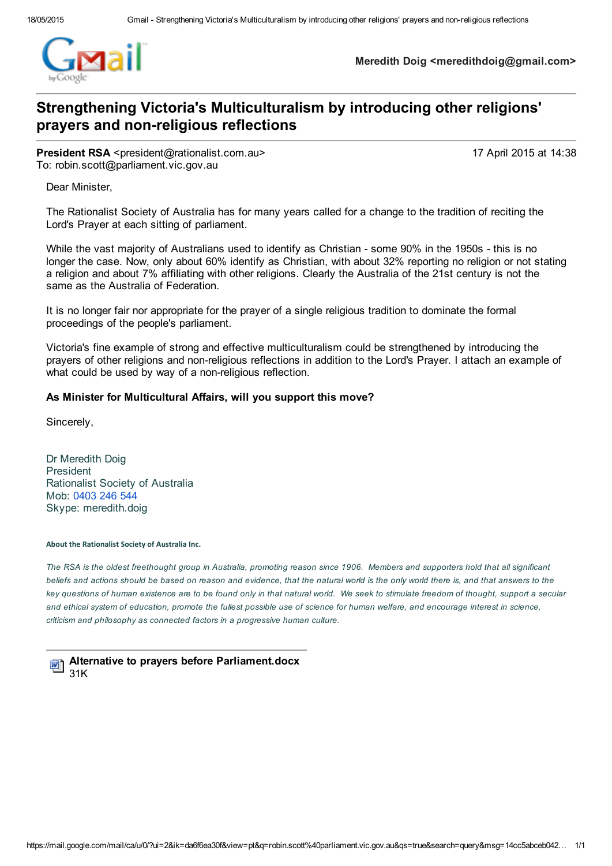

Meredith Doig <meredithdoig@gmail.com>

### Strengthening Victoria's Multiculturalism by introducing other religions' prayers and non-religious reflections

**President RSA** <president@rationalist.com.au> 17 April 2015 at 14:38 To: robin.scott@parliament.vic.gov.au

Dear Minister,

The Rationalist Society of Australia has for many years called for a change to the tradition of reciting the Lord's Prayer at each sitting of parliament.

While the vast majority of Australians used to identify as Christian - some 90% in the 1950s - this is no longer the case. Now, only about 60% identify as Christian, with about 32% reporting no religion or not stating a religion and about 7% affiliating with other religions. Clearly the Australia of the 21st century is not the same as the Australia of Federation.

It is no longer fair nor appropriate for the prayer of a single religious tradition to dominate the formal proceedings of the people's parliament.

Victoria's fine example of strong and effective multiculturalism could be strengthened by introducing the prayers of other religions and nonreligious reflections in addition to the Lord's Prayer. I attach an example of what could be used by way of a non-religious reflection.

### As Minister for Multicultural Affairs, will you support this move?

Sincerely,

Dr Meredith Doig President Rationalist Society of Australia Mob: [0403](tel:0403%20246%20544) 246 544 Skype: meredith.doig

#### About the Rationalist Society of Australia Inc.

The RSA is the oldest freethought group in Australia, promoting reason since 1906. Members and supporters hold that all significant beliefs and actions should be based on reason and evidence, that the natural world is the only world there is, and that answers to the key questions of human existence are to be found only in that natural world. We seek to stimulate freedom of thought, support a secular and ethical system of education, promote the fullest possible use of science for human welfare, and encourage interest in science, *criticism and philosophy as connected factors in a progressive human culture.*

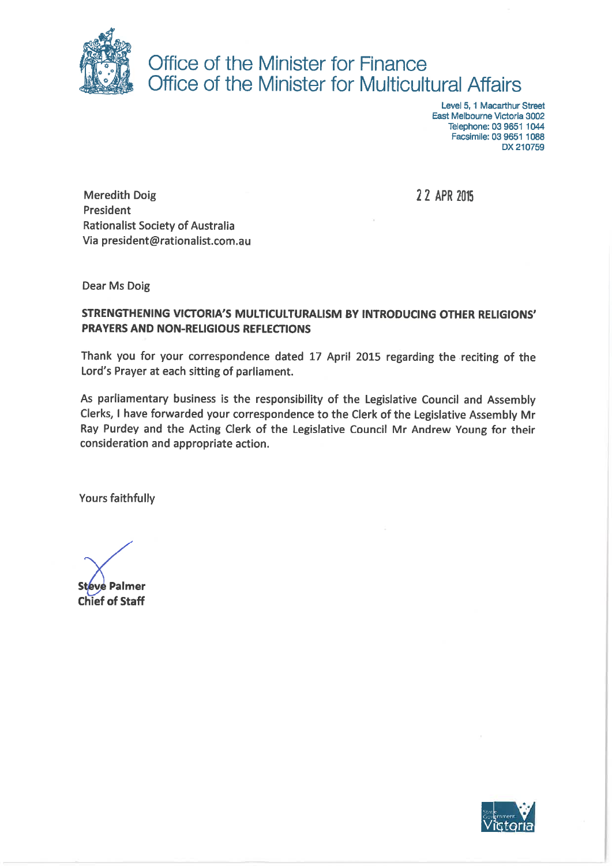

# Office of the Minister for Finance Office of the Minister for Multicultural Affairs

Level 5, 1 Macarthur Street East Melbourne Victoria 3002 Telephone: 03 9651 1044 Facsimile: 03 9651 1088 DX 210759

2 2 APR 2015

**Meredith Doig** President **Rationalist Society of Australia** Via president@rationalist.com.au

**Dear Ms Doig** 

### STRENGTHENING VICTORIA'S MULTICULTURALISM BY INTRODUCING OTHER RELIGIONS' **PRAYERS AND NON-RELIGIOUS REFLECTIONS**

Thank you for your correspondence dated 17 April 2015 regarding the reciting of the Lord's Prayer at each sitting of parliament.

As parliamentary business is the responsibility of the Legislative Council and Assembly Clerks, I have forwarded your correspondence to the Clerk of the Legislative Assembly Mr Ray Purdey and the Acting Clerk of the Legislative Council Mr Andrew Young for their consideration and appropriate action.

Yours faithfully

**Steve Palmer Chief of Staff** 

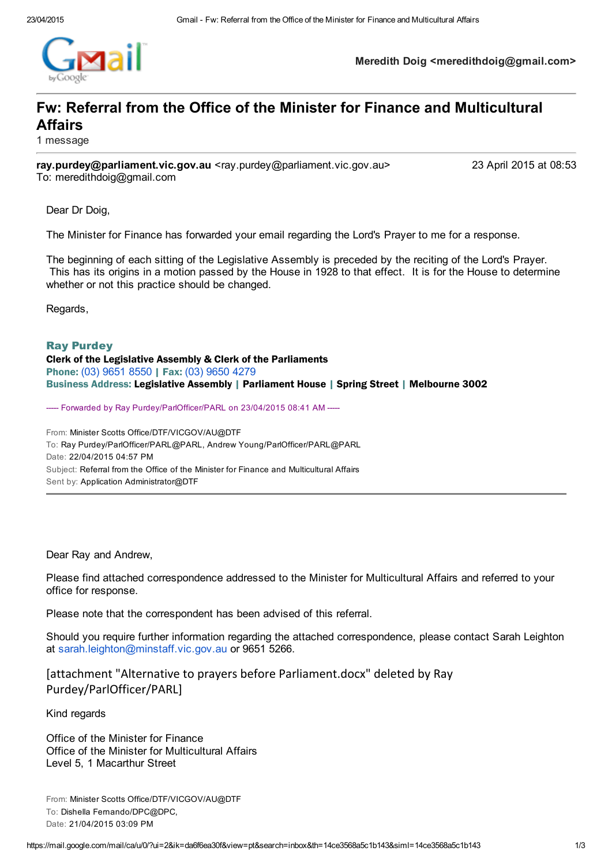

Meredith Doig <meredithdoig@gmail.com>

## Fw: Referral from the Office of the Minister for Finance and Multicultural Affairs

1 message

ray.purdey@parliament.vic.gov.au <ray.purdey@parliament.vic.gov.au> 23 April 2015 at 08:53 To: meredithdoig@gmail.com

Dear Dr Doig,

The Minister for Finance has forwarded your email regarding the Lord's Prayer to me for a response.

The beginning of each sitting of the Legislative Assembly is preceded by the reciting of the Lord's Prayer. This has its origins in a motion passed by the House in 1928 to that effect. It is for the House to determine whether or not this practice should be changed.

Regards,

Ray Purdey Clerk of the Legislative Assembly & Clerk of the Parliaments

Phone: (03) [9651](tel:%2803%29%209651%208550) 8550 | Fax: (03) [9650](tel:%2803%29%209650%204279) 4279 Business Address: Legislative Assembly | Parliament House | Spring Street | Melbourne 3002

----- Forwarded by Ray Purdey/ParlOfficer/PARL on 23/04/2015 08:41 AM -----

From: Minister Scotts Office/DTF/VICGOV/AU@DTF To: Ray Purdey/ParlOfficer/PARL@PARL, Andrew Young/ParlOfficer/PARL@PARL Date: 22/04/2015 04:57 PM Subject: Referral from the Office of the Minister for Finance and Multicultural Affairs Sent by: Application Administrator@DTF

Dear Ray and Andrew,

Please find attached correspondence addressed to the Minister for Multicultural Affairs and referred to your office for response.

Please note that the correspondent has been advised of this referral.

Should you require further information regarding the attached correspondence, please contact Sarah Leighton at [sarah.leighton@minstaff.vic.gov.au](mailto:sarah.leighton@minstaff.vic.gov.au) or 9651 5266.

[attachment "Alternative to prayers before Parliament.docx" deleted by Ray Purdey/ParlOfficer/PARL]

Kind regards

Office of the Minister for Finance Office of the Minister for Multicultural Affairs Level 5, 1 Macarthur Street

From: Minister Scotts Office/DTF/VICGOV/AU@DTF To: Dishella Fernando/DPC@DPC, Date: 21/04/2015 03:09 PM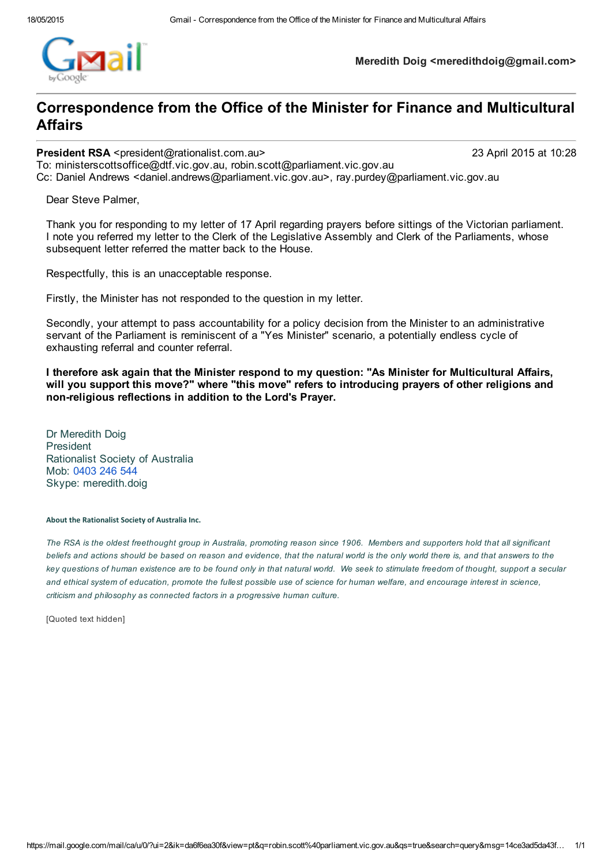

Meredith Doig <meredithdoig@gmail.com>

### Correspondence from the Office of the Minister for Finance and Multicultural Affairs

#### President RSA <president@rationalist.com.au> 23 April 2015 at 10:28

To: ministerscottsoffice@dtf.vic.gov.au, robin.scott@parliament.vic.gov.au Cc: Daniel Andrews <daniel.andrews@parliament.vic.gov.au>, ray.purdey@parliament.vic.gov.au

Dear Steve Palmer,

Thank you for responding to my letter of 17 April regarding prayers before sittings of the Victorian parliament. I note you referred my letter to the Clerk of the Legislative Assembly and Clerk of the Parliaments, whose subsequent letter referred the matter back to the House.

Respectfully, this is an unacceptable response.

Firstly, the Minister has not responded to the question in my letter.

Secondly, your attempt to pass accountability for a policy decision from the Minister to an administrative servant of the Parliament is reminiscent of a "Yes Minister" scenario, a potentially endless cycle of exhausting referral and counter referral.

I therefore ask again that the Minister respond to my question: "As Minister for Multicultural Affairs, will you support this move?" where "this move" refers to introducing prayers of other religions and non-religious reflections in addition to the Lord's Prayer.

Dr Meredith Doig President Rationalist Society of Australia Mob: [0403](tel:0403%20246%20544) 246 544 Skype: meredith.doig

#### About the Rationalist Society of Australia Inc.

The RSA is the oldest freethought group in Australia, promoting reason since 1906. Members and supporters hold that all significant beliefs and actions should be based on reason and evidence, that the natural world is the only world there is, and that answers to the key questions of human existence are to be found only in that natural world. We seek to stimulate freedom of thought, support a secular and ethical system of education, promote the fullest possible use of science for human welfare, and encourage interest in science, *criticism and philosophy as connected factors in a progressive human culture.*

[Quoted text hidden]